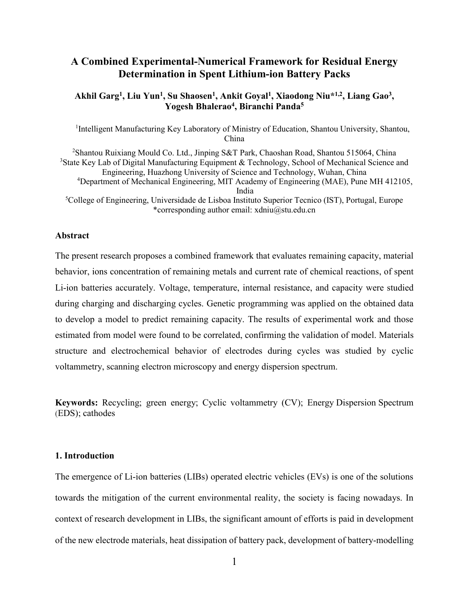## **A Combined Experimental-Numerical Framework for Residual Energy Determination in Spent Lithium-ion Battery Packs**

## **Akhil Garg<sup>1</sup> , Liu Yun<sup>1</sup> , Su Shaosen<sup>1</sup> , Ankit Goyal<sup>1</sup> , Xiaodong Niu\*1,2 , Liang Gao<sup>3</sup> , Yogesh Bhalerao<sup>4</sup> , Biranchi Panda<sup>5</sup>**

<sup>1</sup>Intelligent Manufacturing Key Laboratory of Ministry of Education, Shantou University, Shantou, China

<sup>2</sup>Shantou Ruixiang Mould Co. Ltd., Jinping S&T Park, Chaoshan Road, Shantou 515064, China <sup>3</sup>State Key Lab of Digital Manufacturing Equipment & Technology, School of Mechanical Science and Engineering, Huazhong University of Science and Technology, Wuhan, China <sup>4</sup>Department of Mechanical Engineering, MIT Academy of Engineering (MAE), Pune MH 412105, India <sup>5</sup>College of Engineering, Universidade de Lisboa Instituto Superior Tecnico (IST), Portugal, Europe \*corresponding author email: xdniu@stu.edu.cn

## **Abstract**

The present research proposes a combined framework that evaluates remaining capacity, material behavior, ions concentration of remaining metals and current rate of chemical reactions, of spent Li-ion batteries accurately. Voltage, temperature, internal resistance, and capacity were studied during charging and discharging cycles. Genetic programming was applied on the obtained data to develop a model to predict remaining capacity. The results of experimental work and those estimated from model were found to be correlated, confirming the validation of model. Materials structure and electrochemical behavior of electrodes during cycles was studied by cyclic voltammetry, scanning electron microscopy and energy dispersion spectrum.

**Keywords:** Recycling; green energy; Cyclic voltammetry (CV); Energy Dispersion Spectrum (EDS); cathodes

#### **1. Introduction**

The emergence of Li-ion batteries (LIBs) operated electric vehicles (EVs) is one of the solutions towards the mitigation of the current environmental reality, the society is facing nowadays. In context of research development in LIBs, the significant amount of efforts is paid in development of the new electrode materials, heat dissipation of battery pack, development of battery-modelling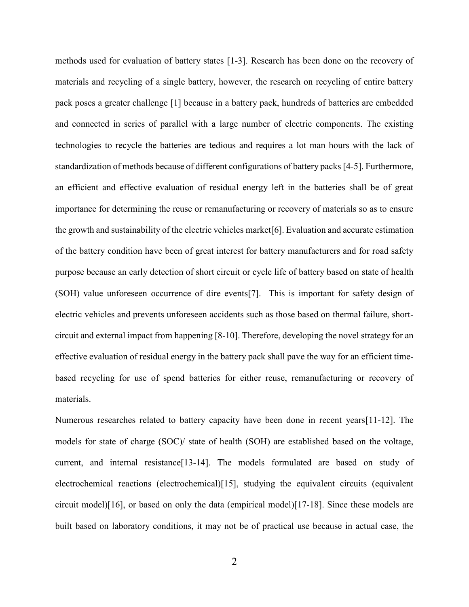methods used for evaluation of battery states [1-3]. Research has been done on the recovery of materials and recycling of a single battery, however, the research on recycling of entire battery pack poses a greater challenge [1] because in a battery pack, hundreds of batteries are embedded and connected in series of parallel with a large number of electric components. The existing technologies to recycle the batteries are tedious and requires a lot man hours with the lack of standardization of methods because of different configurations of battery packs [4-5]. Furthermore, an efficient and effective evaluation of residual energy left in the batteries shall be of great importance for determining the reuse or remanufacturing or recovery of materials so as to ensure the growth and sustainability of the electric vehicles market[6]. Evaluation and accurate estimation of the battery condition have been of great interest for battery manufacturers and for road safety purpose because an early detection of short circuit or cycle life of battery based on state of health (SOH) value unforeseen occurrence of dire events[7]. This is important for safety design of electric vehicles and prevents unforeseen accidents such as those based on thermal failure, shortcircuit and external impact from happening [8-10]. Therefore, developing the novel strategy for an effective evaluation of residual energy in the battery pack shall pave the way for an efficient timebased recycling for use of spend batteries for either reuse, remanufacturing or recovery of materials.

Numerous researches related to battery capacity have been done in recent years[11-12]. The models for state of charge (SOC)/ state of health (SOH) are established based on the voltage, current, and internal resistance[13-14]. The models formulated are based on study of electrochemical reactions (electrochemical)[15], studying the equivalent circuits (equivalent circuit model)[16], or based on only the data (empirical model)[17-18]. Since these models are built based on laboratory conditions, it may not be of practical use because in actual case, the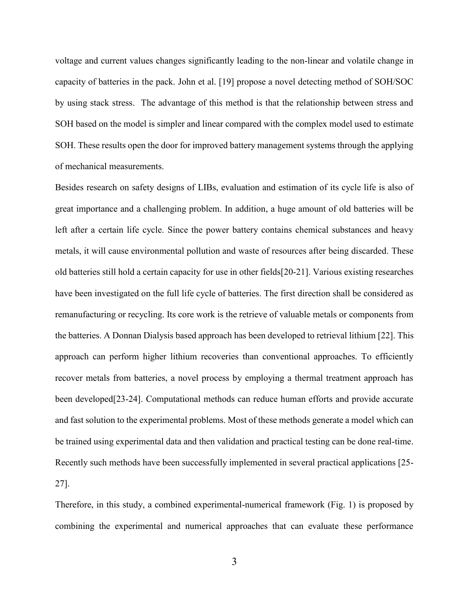voltage and current values changes significantly leading to the non-linear and volatile change in capacity of batteries in the pack. John et al. [19] propose a novel detecting method of SOH/SOC by using stack stress. The advantage of this method is that the relationship between stress and SOH based on the model is simpler and linear compared with the complex model used to estimate SOH. These results open the door for improved battery management systems through the applying of mechanical measurements.

Besides research on safety designs of LIBs, evaluation and estimation of its cycle life is also of great importance and a challenging problem. In addition, a huge amount of old batteries will be left after a certain life cycle. Since the power battery contains chemical substances and heavy metals, it will cause environmental pollution and waste of resources after being discarded. These old batteries still hold a certain capacity for use in other fields[20-21]. Various existing researches have been investigated on the full life cycle of batteries. The first direction shall be considered as remanufacturing or recycling. Its core work is the retrieve of valuable metals or components from the batteries. A Donnan Dialysis based approach has been developed to retrieval lithium [22]. This approach can perform higher lithium recoveries than conventional approaches. To efficiently recover metals from batteries, a novel process by employing a thermal treatment approach has been developed[23-24]. Computational methods can reduce human efforts and provide accurate and fast solution to the experimental problems. Most of these methods generate a model which can be trained using experimental data and then validation and practical testing can be done real-time. Recently such methods have been successfully implemented in several practical applications [25- 27].

Therefore, in this study, a combined experimental-numerical framework (Fig. 1) is proposed by combining the experimental and numerical approaches that can evaluate these performance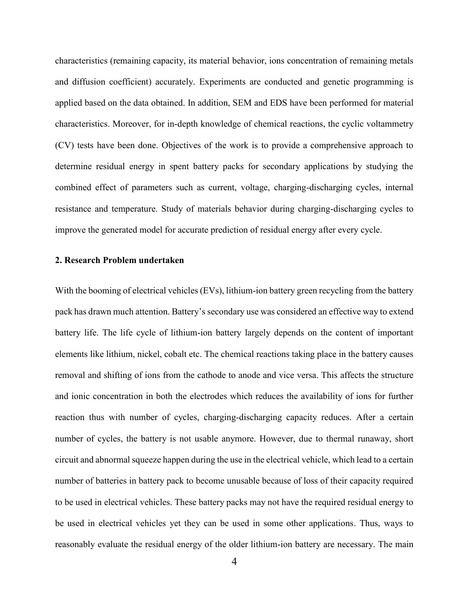characteristics (remaining capacity, its material behavior, ions concentration of remaining metals and diffusion coefficient) accurately. Experiments are conducted and genetic programming is applied based on the data obtained. In addition, SEM and EDS have been performed for material characteristics. Moreover, for in-depth knowledge of chemical reactions, the cyclic voltammetry (CV) tests have been done. Objectives of the work is to provide a comprehensive approach to determine residual energy in spent battery packs for secondary applications by studying the combined effect of parameters such as current, voltage, charging-discharging cycles, internal resistance and temperature. Study of materials behavior during charging-discharging cycles to improve the generated model for accurate prediction of residual energy after every cycle.

#### **2. Research Problem undertaken**

With the booming of electrical vehicles (EVs), lithium-ion battery green recycling from the battery pack has drawn much attention. Battery's secondary use was considered an effective way to extend battery life. The life cycle of lithium-ion battery largely depends on the content of important elements like lithium, nickel, cobalt etc. The chemical reactions taking place in the battery causes removal and shifting of ions from the cathode to anode and vice versa. This affects the structure and ionic concentration in both the electrodes which reduces the availability of ions for further reaction thus with number of cycles, charging-discharging capacity reduces. After a certain number of cycles, the battery is not usable anymore. However, due to thermal runaway, short circuit and abnormal squeeze happen during the use in the electrical vehicle, which lead to a certain number of batteries in battery pack to become unusable because of loss of their capacity required to be used in electrical vehicles. These battery packs may not have the required residual energy to be used in electrical vehicles yet they can be used in some other applications. Thus, ways to reasonably evaluate the residual energy of the older lithium-ion battery are necessary. The main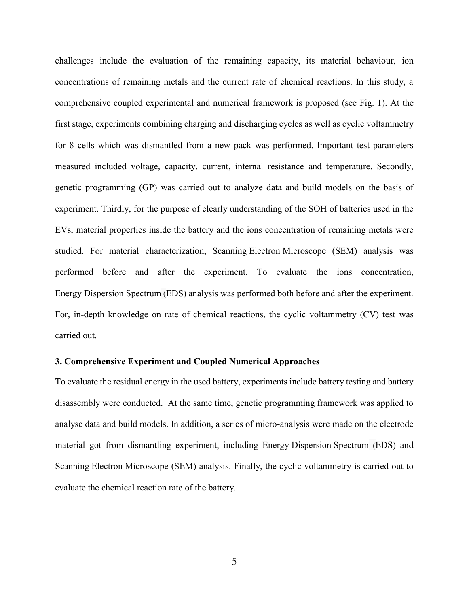challenges include the evaluation of the remaining capacity, its material behaviour, ion concentrations of remaining metals and the current rate of chemical reactions. In this study, a comprehensive coupled experimental and numerical framework is proposed (see Fig. 1). At the first stage, experiments combining charging and discharging cycles as well as cyclic voltammetry for 8 cells which was dismantled from a new pack was performed. Important test parameters measured included voltage, capacity, current, internal resistance and temperature. Secondly, genetic programming (GP) was carried out to analyze data and build models on the basis of experiment. Thirdly, for the purpose of clearly understanding of the SOH of batteries used in the EVs, material properties inside the battery and the ions concentration of remaining metals were studied. For material characterization, Scanning Electron Microscope (SEM) analysis was performed before and after the experiment. To evaluate the ions concentration, Energy Dispersion Spectrum (EDS) analysis was performed both before and after the experiment. For, in-depth knowledge on rate of chemical reactions, the cyclic voltammetry (CV) test was carried out.

#### **3. Comprehensive Experiment and Coupled Numerical Approaches**

To evaluate the residual energy in the used battery, experiments include battery testing and battery disassembly were conducted. At the same time, genetic programming framework was applied to analyse data and build models. In addition, a series of micro-analysis were made on the electrode material got from dismantling experiment, including Energy Dispersion Spectrum (EDS) and Scanning Electron Microscope (SEM) analysis. Finally, the cyclic voltammetry is carried out to evaluate the chemical reaction rate of the battery.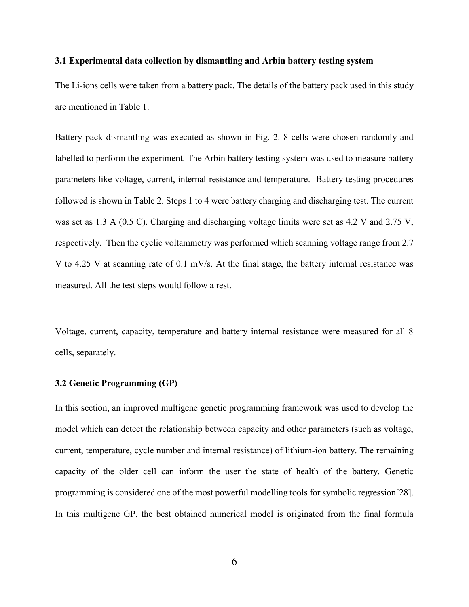#### **3.1 Experimental data collection by dismantling and Arbin battery testing system**

The Li-ions cells were taken from a battery pack. The details of the battery pack used in this study are mentioned in Table 1.

Battery pack dismantling was executed as shown in Fig. 2. 8 cells were chosen randomly and labelled to perform the experiment. The Arbin battery testing system was used to measure battery parameters like voltage, current, internal resistance and temperature. Battery testing procedures followed is shown in Table 2. Steps 1 to 4 were battery charging and discharging test. The current was set as 1.3 A (0.5 C). Charging and discharging voltage limits were set as 4.2 V and 2.75 V, respectively. Then the cyclic voltammetry was performed which scanning voltage range from 2.7 V to 4.25 V at scanning rate of 0.1 mV/s. At the final stage, the battery internal resistance was measured. All the test steps would follow a rest.

Voltage, current, capacity, temperature and battery internal resistance were measured for all 8 cells, separately.

#### **3.2 Genetic Programming (GP)**

In this section, an improved multigene genetic programming framework was used to develop the model which can detect the relationship between capacity and other parameters (such as voltage, current, temperature, cycle number and internal resistance) of lithium-ion battery. The remaining capacity of the older cell can inform the user the state of health of the battery. Genetic programming is considered one of the most powerful modelling tools for symbolic regression[28]. In this multigene GP, the best obtained numerical model is originated from the final formula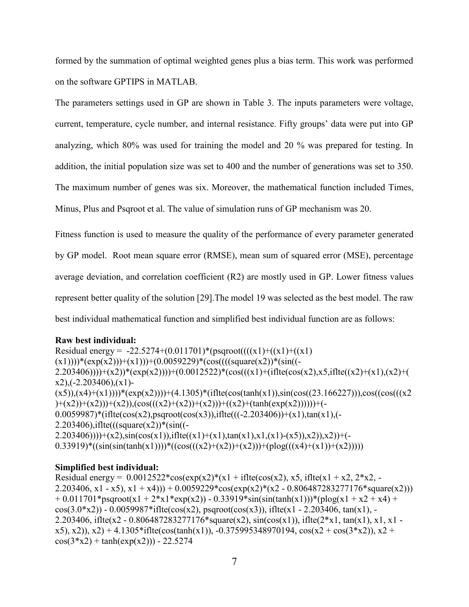formed by the summation of optimal weighted genes plus a bias term. This work was performed on the software GPTIPS in MATLAB.

The parameters settings used in GP are shown in Table 3. The inputs parameters were voltage, current, temperature, cycle number, and internal resistance. Fifty groups' data were put into GP analyzing, which 80% was used for training the model and 20 % was prepared for testing. In addition, the initial population size was set to 400 and the number of generations was set to 350. The maximum number of genes was six. Moreover, the mathematical function included Times, Minus, Plus and Psqroot et al. The value of simulation runs of GP mechanism was 20.

Fitness function is used to measure the quality of the performance of every parameter generated by GP model. Root mean square error (RMSE), mean sum of squared error (MSE), percentage average deviation, and correlation coefficient (R2) are mostly used in GP. Lower fitness values represent better quality of the solution [29].The model 19 was selected as the best model. The raw best individual mathematical function and simplified best individual function are as follows:

## **Raw best individual:**

Residual energy =  $-22.5274+(0.011701)*(psqroot(((x1)+(x1)+(x1))$  $(x1))$ )\*(exp(x2)))+(x1)))+(0.0059229)\*(cos((((square(x2))\*(sin((- $2.203406))$   $\rightarrow$   $(x2)$   $*(exp(x2))$   $\rightarrow$   $(0.0012522) * (cos(((x1)+(ifte(cos(x2),x5,iflte((x2)+(x1),(x2)+(x1)))))$  $x2$ ),(-2.203406), $(x1)$ - $(x5)$ ), $(x4)+(x1)$ )))\*( $exp(x2)$ )))+(4.1305)\*(iflte(cos(tanh(x1)),sin(cos((23.166227))),cos((cos(((x2  $(+ (x2)+(x2))+(x2))+(x2)),(cos(((x2)+(x2))+(x2)))+(x2))+(tanh(exp(x2))))+(6x2)$  $0.0059987$ <sup>\*</sup>(iflte(cos(x2),psqroot(cos(x3)),iflte(((-2.203406))+(x1),tan(x1),(- $2.203406$ ),iflte(((square(x2))\*(sin((- $2.203406))$   $\rightarrow$   $(x2)$ ,  $\sin(\cos(x1))$ , if  $\text{lte}((x1)+(x1)$ ,  $\tan(x1)$ ,  $x1$ ,  $(x1)-(x5)$ ,  $x2)$ ,  $x2)$  + (-0.33919)\*((sin(sin(tanh(x1))))\*((cos(((x2)+(x2))+(x2)))+(plog(((x4)+(x1))+(x2)))))

## **Simplified best individual:**

Residual energy =  $0.0012522*cos(exp(x2)*(x1 + iflte(cos(x2), x5, iflte(x1 + x2, 2*x2, -))$ 2.203406, x1 - x5), x1 + x4))) + 0.0059229\*cos(exp(x2)\*(x2 - 0.806487283277176\*square(x2)))  $+ 0.011701*$ psqroot(x1 + 2\*x1\*exp(x2)) - 0.33919\*sin(sin(tanh(x1)))\*(plog(x1 + x2 + x4) +  $cos(3.0 * x2)) - 0.0059987 * iflte(cos(x2), psqroot(cos(x3)), iflte(x1 - 2.203406, tan(x1), -$ 2.203406, if  $\text{Ite}(x^2 - 0.806487283277176^* \text{square}(x^2), \sin(\cos(x^1)), \text{ if } \text{Ite}(2^*x^1, \tan(x^1), x^1, x^1 (x5)$ ,  $(x2)$ ),  $(x2)$  + 4.1305\*iflte(cos(tanh(x1)), -0.375995348970194,  $cos(x2 + cos(3*x2))$ ,  $x2$  +  $cos(3*x2) + tanh(exp(x2)) - 22.5274$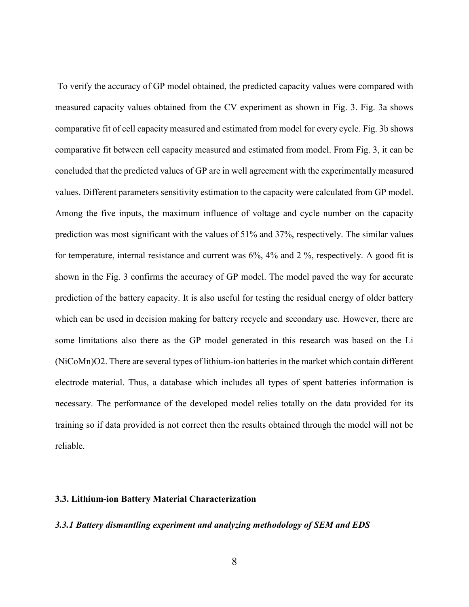To verify the accuracy of GP model obtained, the predicted capacity values were compared with measured capacity values obtained from the CV experiment as shown in Fig. 3. Fig. 3a shows comparative fit of cell capacity measured and estimated from model for every cycle. Fig. 3b shows comparative fit between cell capacity measured and estimated from model. From Fig. 3, it can be concluded that the predicted values of GP are in well agreement with the experimentally measured values. Different parameters sensitivity estimation to the capacity were calculated from GP model. Among the five inputs, the maximum influence of voltage and cycle number on the capacity prediction was most significant with the values of 51% and 37%, respectively. The similar values for temperature, internal resistance and current was 6%, 4% and 2 %, respectively. A good fit is shown in the Fig. 3 confirms the accuracy of GP model. The model paved the way for accurate prediction of the battery capacity. It is also useful for testing the residual energy of older battery which can be used in decision making for battery recycle and secondary use. However, there are some limitations also there as the GP model generated in this research was based on the Li (NiCoMn)O2. There are several types of lithium-ion batteries in the market which contain different electrode material. Thus, a database which includes all types of spent batteries information is necessary. The performance of the developed model relies totally on the data provided for its training so if data provided is not correct then the results obtained through the model will not be reliable.

#### **3.3. Lithium-ion Battery Material Characterization**

#### *3.3.1 Battery dismantling experiment and analyzing methodology of SEM and EDS*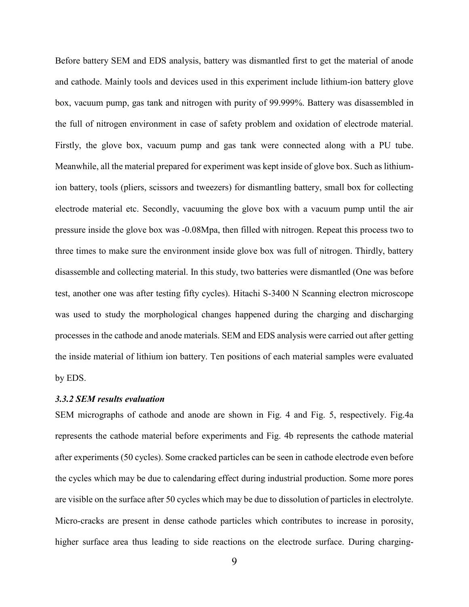Before battery SEM and EDS analysis, battery was dismantled first to get the material of anode and cathode. Mainly tools and devices used in this experiment include lithium-ion battery glove box, vacuum pump, gas tank and nitrogen with purity of 99.999%. Battery was disassembled in the full of nitrogen environment in case of safety problem and oxidation of electrode material. Firstly, the glove box, vacuum pump and gas tank were connected along with a PU tube. Meanwhile, all the material prepared for experiment was kept inside of glove box. Such as lithiumion battery, tools (pliers, scissors and tweezers) for dismantling battery, small box for collecting electrode material etc. Secondly, vacuuming the glove box with a vacuum pump until the air pressure inside the glove box was -0.08Mpa, then filled with nitrogen. Repeat this process two to three times to make sure the environment inside glove box was full of nitrogen. Thirdly, battery disassemble and collecting material. In this study, two batteries were dismantled (One was before test, another one was after testing fifty cycles). Hitachi S-3400 N Scanning electron microscope was used to study the morphological changes happened during the charging and discharging processes in the cathode and anode materials. SEM and EDS analysis were carried out after getting the inside material of lithium ion battery. Ten positions of each material samples were evaluated by EDS.

#### *3.3.2 SEM results evaluation*

SEM micrographs of cathode and anode are shown in Fig. 4 and Fig. 5, respectively. Fig.4a represents the cathode material before experiments and Fig. 4b represents the cathode material after experiments (50 cycles). Some cracked particles can be seen in cathode electrode even before the cycles which may be due to calendaring effect during industrial production. Some more pores are visible on the surface after 50 cycles which may be due to dissolution of particles in electrolyte. Micro-cracks are present in dense cathode particles which contributes to increase in porosity, higher surface area thus leading to side reactions on the electrode surface. During charging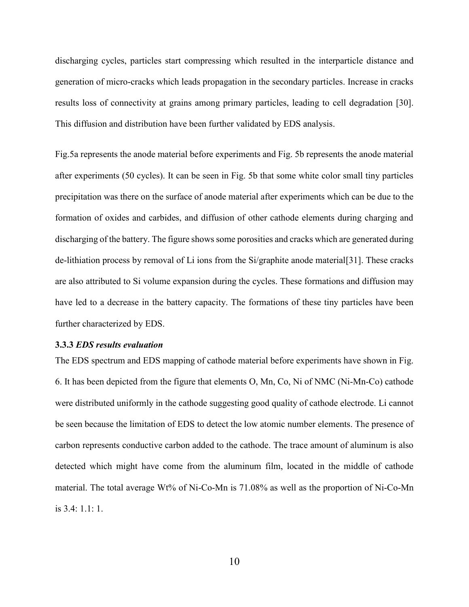discharging cycles, particles start compressing which resulted in the interparticle distance and generation of micro-cracks which leads propagation in the secondary particles. Increase in cracks results loss of connectivity at grains among primary particles, leading to cell degradation [30]. This diffusion and distribution have been further validated by EDS analysis.

Fig.5a represents the anode material before experiments and Fig. 5b represents the anode material after experiments (50 cycles). It can be seen in Fig. 5b that some white color small tiny particles precipitation was there on the surface of anode material after experiments which can be due to the formation of oxides and carbides, and diffusion of other cathode elements during charging and discharging of the battery. The figure shows some porosities and cracks which are generated during de-lithiation process by removal of Li ions from the Si/graphite anode material[31]. These cracks are also attributed to Si volume expansion during the cycles. These formations and diffusion may have led to a decrease in the battery capacity. The formations of these tiny particles have been further characterized by EDS.

#### **3.3.3** *EDS results evaluation*

The EDS spectrum and EDS mapping of cathode material before experiments have shown in Fig. 6. It has been depicted from the figure that elements O, Mn, Co, Ni of NMC (Ni-Mn-Co) cathode were distributed uniformly in the cathode suggesting good quality of cathode electrode. Li cannot be seen because the limitation of EDS to detect the low atomic number elements. The presence of carbon represents conductive carbon added to the cathode. The trace amount of aluminum is also detected which might have come from the aluminum film, located in the middle of cathode material. The total average Wt% of Ni-Co-Mn is 71.08% as well as the proportion of Ni-Co-Mn is 3.4: 1.1: 1.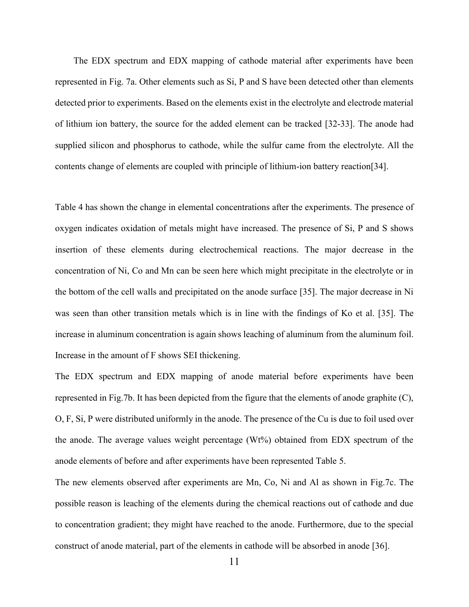The EDX spectrum and EDX mapping of cathode material after experiments have been represented in Fig. 7a. Other elements such as Si, P and S have been detected other than elements detected prior to experiments. Based on the elements exist in the electrolyte and electrode material of lithium ion battery, the source for the added element can be tracked [32-33]. The anode had supplied silicon and phosphorus to cathode, while the sulfur came from the electrolyte. All the contents change of elements are coupled with principle of lithium-ion battery reaction[34].

Table 4 has shown the change in elemental concentrations after the experiments. The presence of oxygen indicates oxidation of metals might have increased. The presence of Si, P and S shows insertion of these elements during electrochemical reactions. The major decrease in the concentration of Ni, Co and Mn can be seen here which might precipitate in the electrolyte or in the bottom of the cell walls and precipitated on the anode surface [35]. The major decrease in Ni was seen than other transition metals which is in line with the findings of Ko et al. [35]. The increase in aluminum concentration is again shows leaching of aluminum from the aluminum foil. Increase in the amount of F shows SEI thickening.

The EDX spectrum and EDX mapping of anode material before experiments have been represented in Fig.7b. It has been depicted from the figure that the elements of anode graphite (C), O, F, Si, P were distributed uniformly in the anode. The presence of the Cu is due to foil used over the anode. The average values weight percentage (Wt%) obtained from EDX spectrum of the anode elements of before and after experiments have been represented Table 5.

The new elements observed after experiments are Mn, Co, Ni and Al as shown in Fig.7c. The possible reason is leaching of the elements during the chemical reactions out of cathode and due to concentration gradient; they might have reached to the anode. Furthermore, due to the special construct of anode material, part of the elements in cathode will be absorbed in anode [36].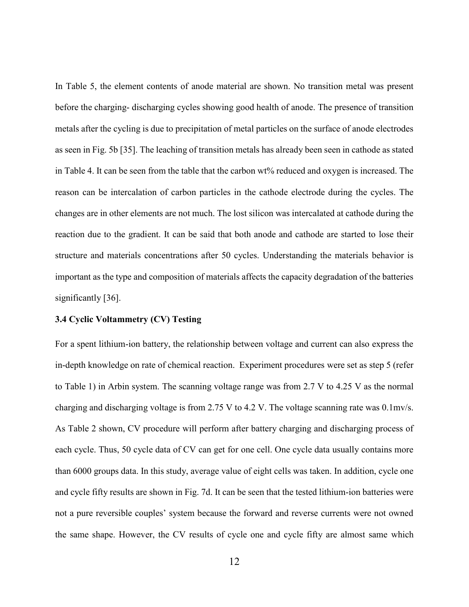In Table 5, the element contents of anode material are shown. No transition metal was present before the charging- discharging cycles showing good health of anode. The presence of transition metals after the cycling is due to precipitation of metal particles on the surface of anode electrodes as seen in Fig. 5b [35]. The leaching of transition metals has already been seen in cathode as stated in Table 4. It can be seen from the table that the carbon wt% reduced and oxygen is increased. The reason can be intercalation of carbon particles in the cathode electrode during the cycles. The changes are in other elements are not much. The lost silicon was intercalated at cathode during the reaction due to the gradient. It can be said that both anode and cathode are started to lose their structure and materials concentrations after 50 cycles. Understanding the materials behavior is important as the type and composition of materials affects the capacity degradation of the batteries significantly [36].

#### **3.4 Cyclic Voltammetry (CV) Testing**

For a spent lithium-ion battery, the relationship between voltage and current can also express the in-depth knowledge on rate of chemical reaction. Experiment procedures were set as step 5 (refer to Table 1) in Arbin system. The scanning voltage range was from 2.7 V to 4.25 V as the normal charging and discharging voltage is from 2.75 V to 4.2 V. The voltage scanning rate was 0.1mv/s. As Table 2 shown, CV procedure will perform after battery charging and discharging process of each cycle. Thus, 50 cycle data of CV can get for one cell. One cycle data usually contains more than 6000 groups data. In this study, average value of eight cells was taken. In addition, cycle one and cycle fifty results are shown in Fig. 7d. It can be seen that the tested lithium-ion batteries were not a pure reversible couples' system because the forward and reverse currents were not owned the same shape. However, the CV results of cycle one and cycle fifty are almost same which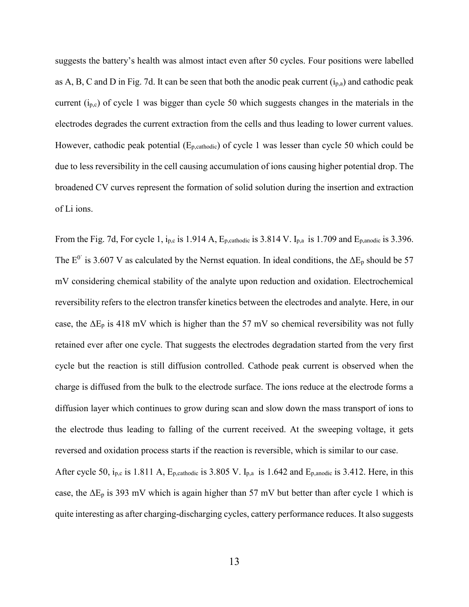suggests the battery's health was almost intact even after 50 cycles. Four positions were labelled as A, B, C and D in Fig. 7d. It can be seen that both the anodic peak current  $(i_{p,a})$  and cathodic peak current  $(i_{p,c})$  of cycle 1 was bigger than cycle 50 which suggests changes in the materials in the electrodes degrades the current extraction from the cells and thus leading to lower current values. However, cathodic peak potential  $(E_{p, \text{cathodic}})$  of cycle 1 was lesser than cycle 50 which could be due to less reversibility in the cell causing accumulation of ions causing higher potential drop. The broadened CV curves represent the formation of solid solution during the insertion and extraction of Li ions.

From the Fig. 7d, For cycle 1,  $i_{p,c}$  is 1.914 A,  $E_{p,cathodic}$  is 3.814 V.  $I_{p,a}$  is 1.709 and  $E_{p,anodic}$  is 3.396. The  $E^0$  is 3.607 V as calculated by the Nernst equation. In ideal conditions, the  $\Delta E_p$  should be 57 mV considering chemical stability of the analyte upon reduction and oxidation. Electrochemical reversibility refers to the electron transfer kinetics between the electrodes and analyte. Here, in our case, the  $\Delta E_p$  is 418 mV which is higher than the 57 mV so chemical reversibility was not fully retained ever after one cycle. That suggests the electrodes degradation started from the very first cycle but the reaction is still diffusion controlled. Cathode peak current is observed when the charge is diffused from the bulk to the electrode surface. The ions reduce at the electrode forms a diffusion layer which continues to grow during scan and slow down the mass transport of ions to the electrode thus leading to falling of the current received. At the sweeping voltage, it gets reversed and oxidation process starts if the reaction is reversible, which is similar to our case.

After cycle 50,  $i_{p,c}$  is 1.811 A,  $E_{p,cathodic}$  is 3.805 V.  $I_{p,a}$  is 1.642 and  $E_{p,anodic}$  is 3.412. Here, in this case, the  $\Delta E_p$  is 393 mV which is again higher than 57 mV but better than after cycle 1 which is quite interesting as after charging-discharging cycles, cattery performance reduces. It also suggests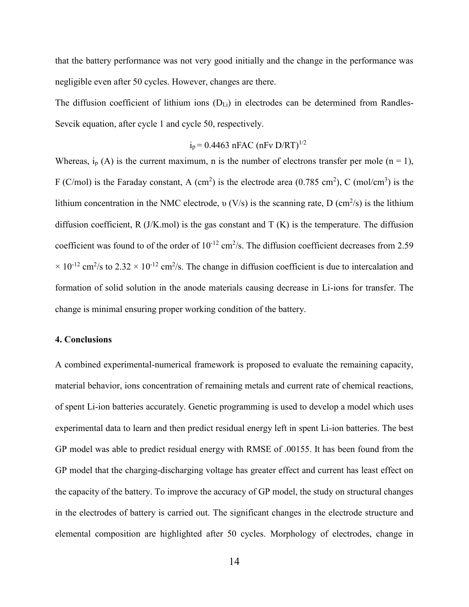that the battery performance was not very good initially and the change in the performance was negligible even after 50 cycles. However, changes are there.

The diffusion coefficient of lithium ions  $(D_{Li})$  in electrodes can be determined from Randles-Sevcik equation, after cycle 1 and cycle 50, respectively.

$$
i_p = 0.4463
$$
 nFAC (nFv D/RT)<sup>1/2</sup>

Whereas,  $i_p(A)$  is the current maximum, n is the number of electrons transfer per mole (n = 1), F (C/mol) is the Faraday constant, A (cm<sup>2</sup>) is the electrode area (0.785 cm<sup>2</sup>), C (mol/cm<sup>3</sup>) is the lithium concentration in the NMC electrode,  $v(V/s)$  is the scanning rate, D (cm<sup>2</sup>/s) is the lithium diffusion coefficient, R  $(J/K/mol)$  is the gas constant and T  $(K)$  is the temperature. The diffusion coefficient was found to of the order of  $10^{-12}$  cm<sup>2</sup>/s. The diffusion coefficient decreases from 2.59  $\times$  10<sup>-12</sup> cm<sup>2</sup>/s to 2.32  $\times$  10<sup>-12</sup> cm<sup>2</sup>/s. The change in diffusion coefficient is due to intercalation and formation of solid solution in the anode materials causing decrease in Li-ions for transfer. The change is minimal ensuring proper working condition of the battery.

#### **4. Conclusions**

A combined experimental-numerical framework is proposed to evaluate the remaining capacity, material behavior, ions concentration of remaining metals and current rate of chemical reactions, of spent Li-ion batteries accurately. Genetic programming is used to develop a model which uses experimental data to learn and then predict residual energy left in spent Li-ion batteries. The best GP model was able to predict residual energy with RMSE of .00155. It has been found from the GP model that the charging-discharging voltage has greater effect and current has least effect on the capacity of the battery. To improve the accuracy of GP model, the study on structural changes in the electrodes of battery is carried out. The significant changes in the electrode structure and elemental composition are highlighted after 50 cycles. Morphology of electrodes, change in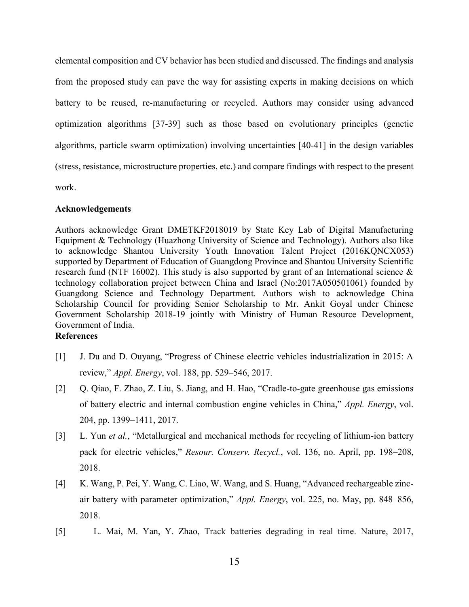elemental composition and CV behavior has been studied and discussed. The findings and analysis from the proposed study can pave the way for assisting experts in making decisions on which battery to be reused, re-manufacturing or recycled. Authors may consider using advanced optimization algorithms [37-39] such as those based on evolutionary principles (genetic algorithms, particle swarm optimization) involving uncertainties [40-41] in the design variables (stress, resistance, microstructure properties, etc.) and compare findings with respect to the present work.

#### **Acknowledgements**

Authors acknowledge Grant DMETKF2018019 by State Key Lab of Digital Manufacturing Equipment & Technology (Huazhong University of Science and Technology). Authors also like to acknowledge Shantou University Youth Innovation Talent Project (2016KQNCX053) supported by Department of Education of Guangdong Province and Shantou University Scientific research fund (NTF 16002). This study is also supported by grant of an International science  $\&$ technology collaboration project between China and Israel (No:2017A050501061) founded by Guangdong Science and Technology Department. Authors wish to acknowledge China Scholarship Council for providing Senior Scholarship to Mr. Ankit Goyal under Chinese Government Scholarship 2018-19 jointly with Ministry of Human Resource Development, Government of India.

### **References**

- [1] J. Du and D. Ouyang, "Progress of Chinese electric vehicles industrialization in 2015: A review," *Appl. Energy*, vol. 188, pp. 529–546, 2017.
- [2] Q. Qiao, F. Zhao, Z. Liu, S. Jiang, and H. Hao, "Cradle-to-gate greenhouse gas emissions of battery electric and internal combustion engine vehicles in China," *Appl. Energy*, vol. 204, pp. 1399–1411, 2017.
- [3] L. Yun *et al.*, "Metallurgical and mechanical methods for recycling of lithium-ion battery pack for electric vehicles," *Resour. Conserv. Recycl.*, vol. 136, no. April, pp. 198–208, 2018.
- [4] K. Wang, P. Pei, Y. Wang, C. Liao, W. Wang, and S. Huang, "Advanced rechargeable zincair battery with parameter optimization," *Appl. Energy*, vol. 225, no. May, pp. 848–856, 2018.
- [5] L. Mai, M. Yan, Y. Zhao, Track batteries degrading in real time. Nature, 2017,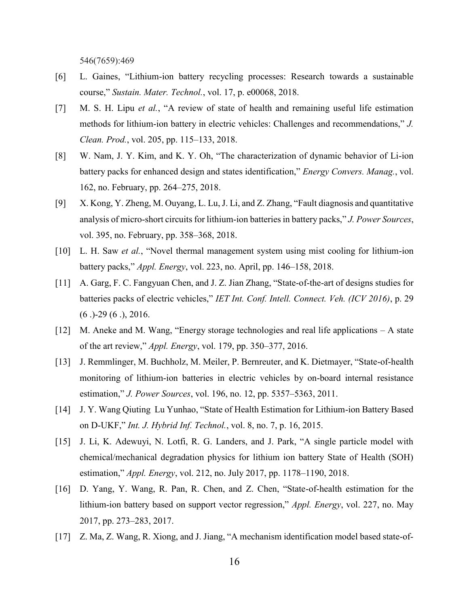546(7659):469

- [6] L. Gaines, "Lithium-ion battery recycling processes: Research towards a sustainable course," *Sustain. Mater. Technol.*, vol. 17, p. e00068, 2018.
- [7] M. S. H. Lipu *et al.*, "A review of state of health and remaining useful life estimation methods for lithium-ion battery in electric vehicles: Challenges and recommendations," *J. Clean. Prod.*, vol. 205, pp. 115–133, 2018.
- [8] W. Nam, J. Y. Kim, and K. Y. Oh, "The characterization of dynamic behavior of Li-ion battery packs for enhanced design and states identification," *Energy Convers. Manag.*, vol. 162, no. February, pp. 264–275, 2018.
- [9] X. Kong, Y. Zheng, M. Ouyang, L. Lu, J. Li, and Z. Zhang, "Fault diagnosis and quantitative analysis of micro-short circuits for lithium-ion batteries in battery packs," *J. Power Sources*, vol. 395, no. February, pp. 358–368, 2018.
- [10] L. H. Saw *et al.*, "Novel thermal management system using mist cooling for lithium-ion battery packs," *Appl. Energy*, vol. 223, no. April, pp. 146–158, 2018.
- [11] A. Garg, F. C. Fangyuan Chen, and J. Z. Jian Zhang, "State-of-the-art of designs studies for batteries packs of electric vehicles," *IET Int. Conf. Intell. Connect. Veh. (ICV 2016)*, p. 29 (6 .)-29 (6 .), 2016.
- [12] M. Aneke and M. Wang, "Energy storage technologies and real life applications A state of the art review," *Appl. Energy*, vol. 179, pp. 350–377, 2016.
- [13] J. Remmlinger, M. Buchholz, M. Meiler, P. Bernreuter, and K. Dietmayer, "State-of-health monitoring of lithium-ion batteries in electric vehicles by on-board internal resistance estimation," *J. Power Sources*, vol. 196, no. 12, pp. 5357–5363, 2011.
- [14] J. Y. Wang Qiuting Lu Yunhao, "State of Health Estimation for Lithium-ion Battery Based on D-UKF," *Int. J. Hybrid Inf. Technol.*, vol. 8, no. 7, p. 16, 2015.
- [15] J. Li, K. Adewuyi, N. Lotfi, R. G. Landers, and J. Park, "A single particle model with chemical/mechanical degradation physics for lithium ion battery State of Health (SOH) estimation," *Appl. Energy*, vol. 212, no. July 2017, pp. 1178–1190, 2018.
- [16] D. Yang, Y. Wang, R. Pan, R. Chen, and Z. Chen, "State-of-health estimation for the lithium-ion battery based on support vector regression," *Appl. Energy*, vol. 227, no. May 2017, pp. 273–283, 2017.
- [17] Z. Ma, Z. Wang, R. Xiong, and J. Jiang, "A mechanism identification model based state-of-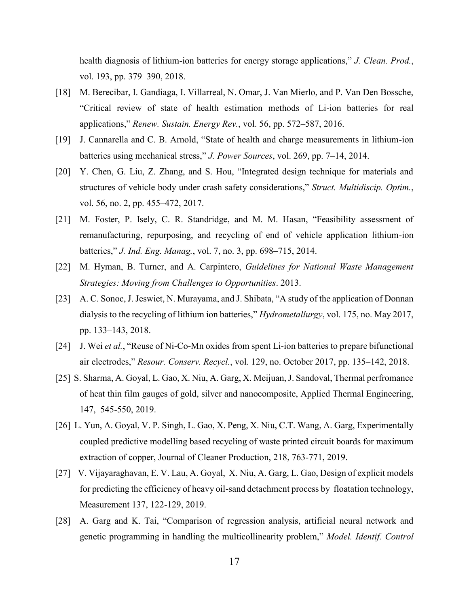health diagnosis of lithium-ion batteries for energy storage applications," *J. Clean. Prod.*, vol. 193, pp. 379–390, 2018.

- [18] M. Berecibar, I. Gandiaga, I. Villarreal, N. Omar, J. Van Mierlo, and P. Van Den Bossche, "Critical review of state of health estimation methods of Li-ion batteries for real applications," *Renew. Sustain. Energy Rev.*, vol. 56, pp. 572–587, 2016.
- [19] J. Cannarella and C. B. Arnold, "State of health and charge measurements in lithium-ion batteries using mechanical stress," *J. Power Sources*, vol. 269, pp. 7–14, 2014.
- [20] Y. Chen, G. Liu, Z. Zhang, and S. Hou, "Integrated design technique for materials and structures of vehicle body under crash safety considerations," *Struct. Multidiscip. Optim.*, vol. 56, no. 2, pp. 455–472, 2017.
- [21] M. Foster, P. Isely, C. R. Standridge, and M. M. Hasan, "Feasibility assessment of remanufacturing, repurposing, and recycling of end of vehicle application lithium-ion batteries," *J. Ind. Eng. Manag.*, vol. 7, no. 3, pp. 698–715, 2014.
- [22] M. Hyman, B. Turner, and A. Carpintero, *Guidelines for National Waste Management Strategies: Moving from Challenges to Opportunities*. 2013.
- [23] A. C. Sonoc, J. Jeswiet, N. Murayama, and J. Shibata, "A study of the application of Donnan dialysis to the recycling of lithium ion batteries," *Hydrometallurgy*, vol. 175, no. May 2017, pp. 133–143, 2018.
- [24] J. Wei *et al.*, "Reuse of Ni-Co-Mn oxides from spent Li-ion batteries to prepare bifunctional air electrodes," *Resour. Conserv. Recycl.*, vol. 129, no. October 2017, pp. 135–142, 2018.
- [25] S. Sharma, A. Goyal, L. Gao, X. Niu, A. Garg, X. Meijuan, J. Sandoval, Thermal perfromance of heat thin film gauges of gold, silver and nanocomposite, Applied Thermal Engineering, 147, 545-550, 2019.
- [26] L. Yun, A. Goyal, V. P. Singh, L. Gao, X. Peng, X. Niu, C.T. Wang, A. Garg, Experimentally coupled predictive modelling based recycling of waste printed circuit boards for maximum extraction of copper, Journal of Cleaner Production, 218, 763-771, 2019.
- [27] V. Vijayaraghavan, E. V. Lau, A. Goyal, X. Niu, A. Garg, L. Gao, Design of explicit models for predicting the efficiency of heavy oil-sand detachment process by floatation technology, Measurement 137, 122-129, 2019.
- [28] A. Garg and K. Tai, "Comparison of regression analysis, artificial neural network and genetic programming in handling the multicollinearity problem," *Model. Identif. Control*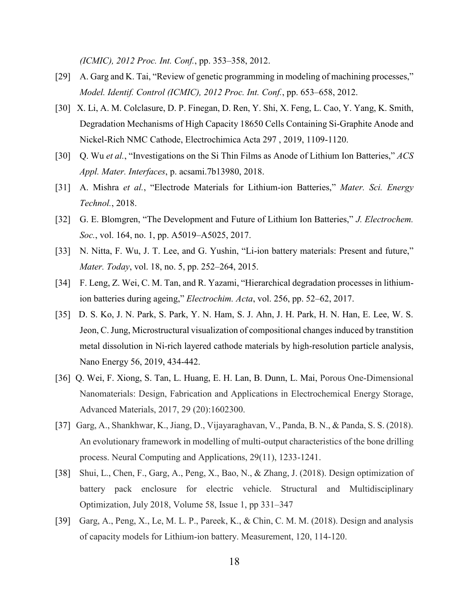*(ICMIC), 2012 Proc. Int. Conf.*, pp. 353–358, 2012.

- [29] A. Garg and K. Tai, "Review of genetic programming in modeling of machining processes," *Model. Identif. Control (ICMIC), 2012 Proc. Int. Conf.*, pp. 653–658, 2012.
- [30] X. Li, A. M. Colclasure, D. P. Finegan, D. Ren, Y. Shi, X. Feng, L. Cao, Y. Yang, K. Smith, Degradation Mechanisms of High Capacity 18650 Cells Containing Si-Graphite Anode and Nickel-Rich NMC Cathode, Electrochimica Acta 297 , 2019, 1109-1120.
- [30] Q. Wu *et al.*, "Investigations on the Si Thin Films as Anode of Lithium Ion Batteries," *ACS Appl. Mater. Interfaces*, p. acsami.7b13980, 2018.
- [31] A. Mishra *et al.*, "Electrode Materials for Lithium-ion Batteries," *Mater. Sci. Energy Technol.*, 2018.
- [32] G. E. Blomgren, "The Development and Future of Lithium Ion Batteries," *J. Electrochem. Soc.*, vol. 164, no. 1, pp. A5019–A5025, 2017.
- [33] N. Nitta, F. Wu, J. T. Lee, and G. Yushin, "Li-ion battery materials: Present and future," *Mater. Today*, vol. 18, no. 5, pp. 252–264, 2015.
- [34] F. Leng, Z. Wei, C. M. Tan, and R. Yazami, "Hierarchical degradation processes in lithiumion batteries during ageing," *Electrochim. Acta*, vol. 256, pp. 52–62, 2017.
- [35] D. S. Ko, J. N. Park, S. Park, Y. N. Ham, S. J. Ahn, J. H. Park, H. N. Han, E. Lee, W. S. Jeon, C. Jung, Microstructural visualization of compositional changes induced by transtition metal dissolution in Ni-rich layered cathode materials by high-resolution particle analysis, Nano Energy 56, 2019, 434-442.
- [36] Q. Wei, F. Xiong, S. Tan, L. Huang, E. H. Lan, B. Dunn, L. Mai, Porous One-Dimensional Nanomaterials: Design, Fabrication and Applications in Electrochemical Energy Storage, Advanced Materials, 2017, 29 (20):1602300.
- [37] Garg, A., Shankhwar, K., Jiang, D., Vijayaraghavan, V., Panda, B. N., & Panda, S. S. (2018). An evolutionary framework in modelling of multi-output characteristics of the bone drilling process. Neural Computing and Applications, 29(11), 1233-1241.
- [38] Shui, L., Chen, F., Garg, A., Peng, X., Bao, N., & Zhang, J. (2018). Design optimization of battery pack enclosure for electric vehicle. Structural and Multidisciplinary Optimization, July 2018, Volume 58, Issue 1, pp 331–347
- [39] Garg, A., Peng, X., Le, M. L. P., Pareek, K., & Chin, C. M. M. (2018). Design and analysis of capacity models for Lithium-ion battery. Measurement, 120, 114-120.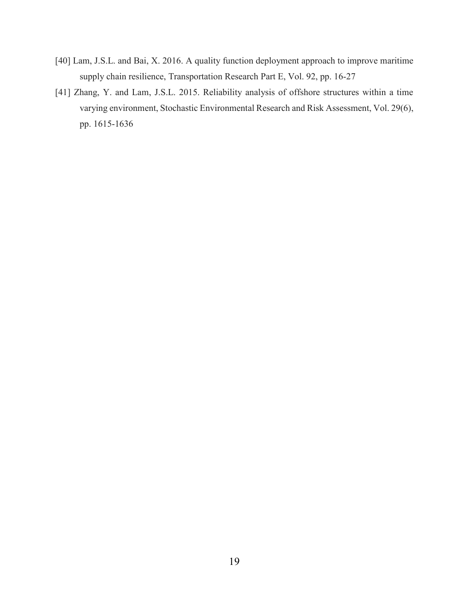- [40] Lam, J.S.L. and Bai, X. 2016. A quality function deployment approach to improve maritime supply chain resilience, Transportation Research Part E, Vol. 92, pp. 16-27
- [41] Zhang, Y. and Lam, J.S.L. 2015. Reliability analysis of offshore structures within a time varying environment, Stochastic Environmental Research and Risk Assessment, Vol. 29(6), pp. 1615-1636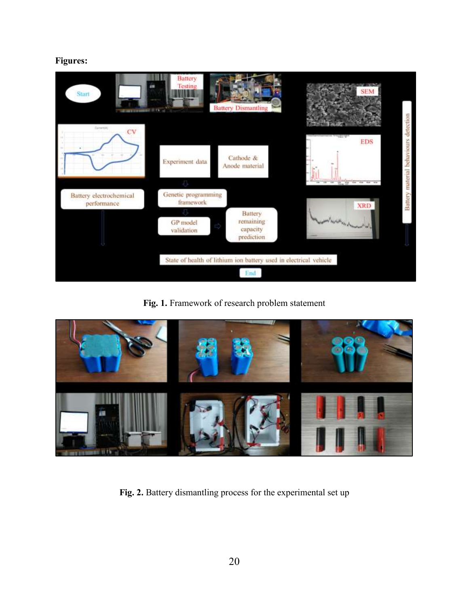# **Figures:**



**Fig. 1.** Framework of research problem statement



**Fig. 2.** Battery dismantling process for the experimental set up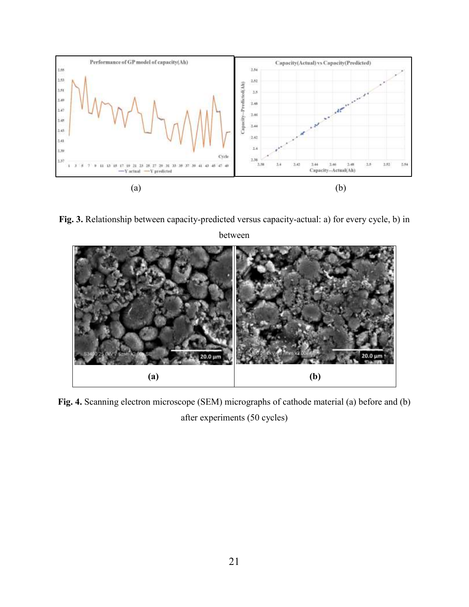

**Fig. 3.** Relationship between capacity-predicted versus capacity-actual: a) for every cycle, b) in



**Fig. 4.** Scanning electron microscope (SEM) micrographs of cathode material (a) before and (b) after experiments (50 cycles)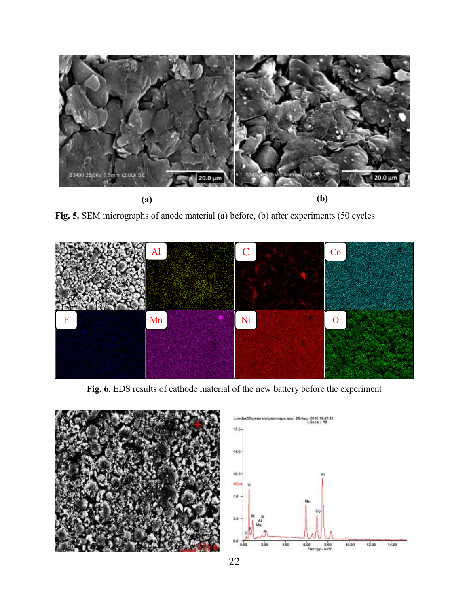

**Fig. 5.** SEM micrographs of anode material (a) before, (b) after experiments (50 cycles



**Fig. 6.** EDS results of cathode material of the new battery before the experiment



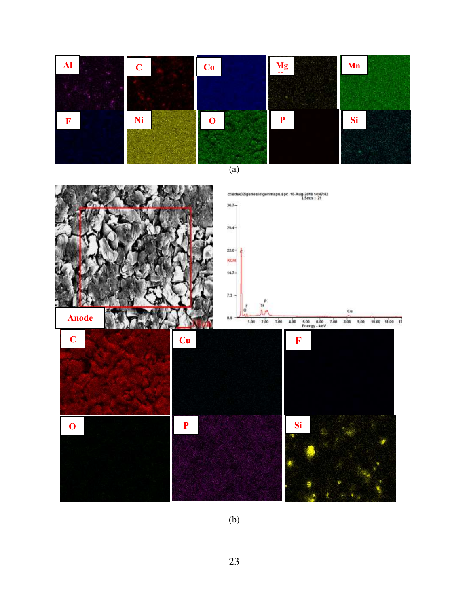

(b)

23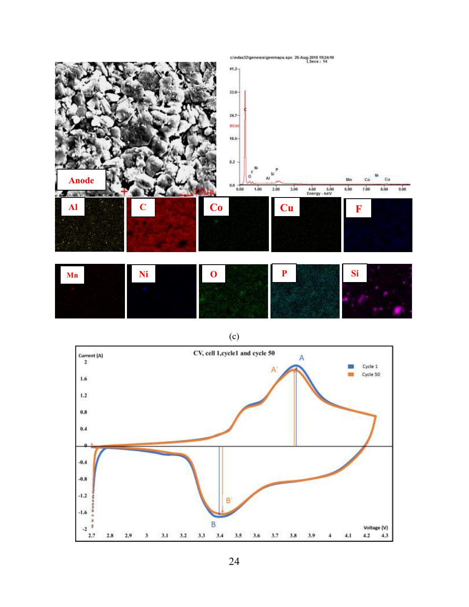

(c)

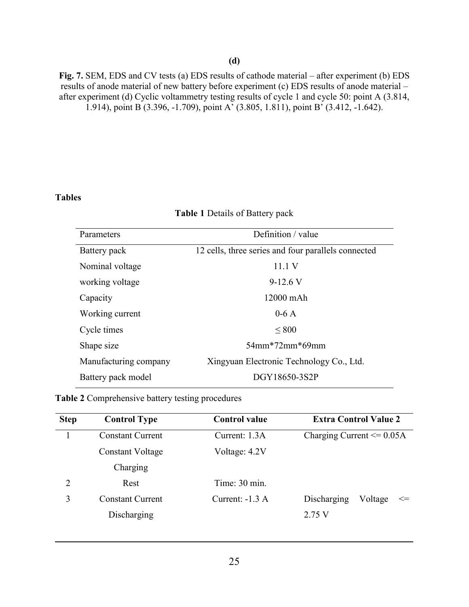## **(d)**

**Fig. 7.** SEM, EDS and CV tests (a) EDS results of cathode material – after experiment (b) EDS results of anode material of new battery before experiment (c) EDS results of anode material – after experiment (d) Cyclic voltammetry testing results of cycle 1 and cycle 50: point A (3.814, 1.914), point B (3.396, -1.709), point A' (3.805, 1.811), point B' (3.412, -1.642).

## **Tables**

#### **Table 1** Details of Battery pack

| Parameters            | Definition / value                                  |
|-----------------------|-----------------------------------------------------|
| Battery pack          | 12 cells, three series and four parallels connected |
| Nominal voltage       | 11.1 V                                              |
| working voltage       | $9-12.6$ V                                          |
| Capacity              | 12000 mAh                                           |
| Working current       | $0-6A$                                              |
| Cycle times           | ${}_{800}$                                          |
| Shape size            | $54$ mm*72mm*69mm                                   |
| Manufacturing company | Xingyuan Electronic Technology Co., Ltd.            |
| Battery pack model    | DGY18650-3S2P                                       |

**Table 2** Comprehensive battery testing procedures

| <b>Step</b>    | <b>Control Type</b>     | <b>Control value</b> | <b>Extra Control Value 2</b>     |  |  |  |  |
|----------------|-------------------------|----------------------|----------------------------------|--|--|--|--|
|                | <b>Constant Current</b> | Current: 1.3A        | Charging Current $\leq 0.05A$    |  |  |  |  |
|                | Constant Voltage        | Voltage: 4.2V        |                                  |  |  |  |  |
|                | Charging                |                      |                                  |  |  |  |  |
| $\overline{2}$ | Rest                    | Time: 30 min.        |                                  |  |  |  |  |
| 3              | <b>Constant Current</b> | Current: $-1.3 A$    | Discharging<br>Voltage<br>$\leq$ |  |  |  |  |
|                | Discharging             |                      | 2.75V                            |  |  |  |  |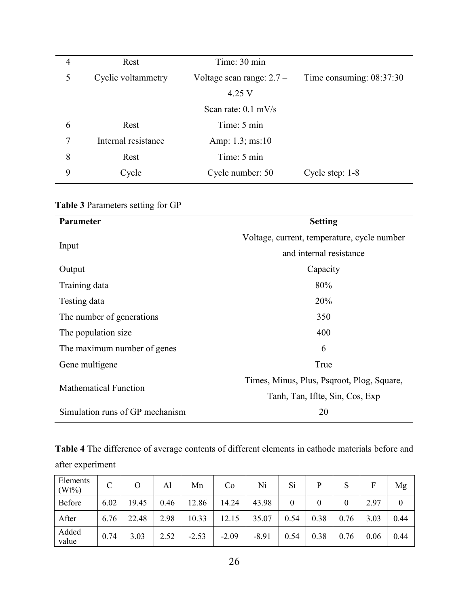| $\overline{4}$ | Rest                | Time: 30 min                |                            |
|----------------|---------------------|-----------------------------|----------------------------|
| 5              | Cyclic voltammetry  | Voltage scan range: $2.7 -$ | Time consuming: $08:37:30$ |
|                |                     | 4.25 V                      |                            |
|                |                     | Scan rate: $0.1$ mV/s       |                            |
| 6              | Rest                | Time: 5 min                 |                            |
| 7              | Internal resistance | Amp: $1.3$ ; ms:10          |                            |
| 8              | Rest                | Time: 5 min                 |                            |
| 9              | Cycle               | Cycle number: 50            | Cycle step: 1-8            |

# **Table 3** Parameters setting for GP

| Parameter                       | <b>Setting</b>                              |
|---------------------------------|---------------------------------------------|
|                                 | Voltage, current, temperature, cycle number |
| Input                           | and internal resistance                     |
| Output                          | Capacity                                    |
| Training data                   | 80%                                         |
| Testing data                    | 20%                                         |
| The number of generations       | 350                                         |
| The population size.            | 400                                         |
| The maximum number of genes     | 6                                           |
| Gene multigene                  | True                                        |
| <b>Mathematical Function</b>    | Times, Minus, Plus, Psqroot, Plog, Square,  |
|                                 | Tanh, Tan, Iflte, Sin, Cos, Exp             |
| Simulation runs of GP mechanism | 20                                          |

**Table 4** The difference of average contents of different elements in cathode materials before and after experiment

| Elements<br>$(Wt\%)$ |      | $\rm{O}$ | Al   | Mn      | Co      | Ni      | Si       | P    | S    | F    | Mg   |
|----------------------|------|----------|------|---------|---------|---------|----------|------|------|------|------|
| Before               | 6.02 | 19.45    | 0.46 | 12.86   | 14.24   | 43.98   | $\theta$ |      |      | 2.97 |      |
| After                | 6.76 | 22.48    | 2.98 | 10.33   | 12.15   | 35.07   | 0.54     | 0.38 | 0.76 | 3.03 | 0.44 |
| Added<br>value       | 0.74 | 3.03     | 2.52 | $-2.53$ | $-2.09$ | $-8.91$ | 0.54     | 0.38 | 0.76 | 0.06 | 0.44 |